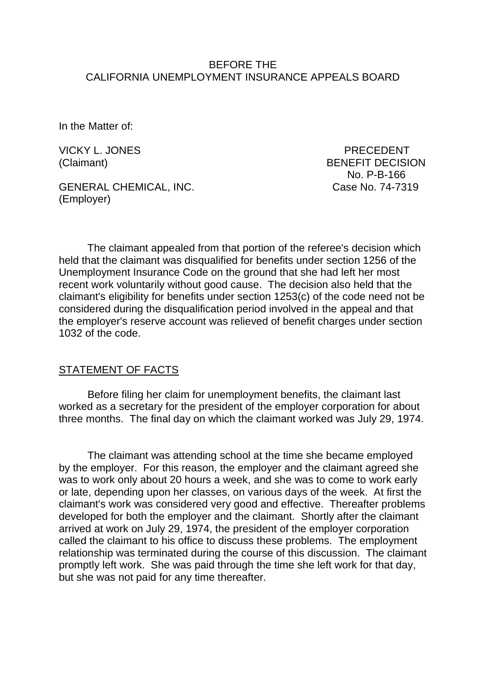## BEFORE THE CALIFORNIA UNEMPLOYMENT INSURANCE APPEALS BOARD

In the Matter of:

VICKY L. JONES PRECEDENT

GENERAL CHEMICAL, INC. Case No. 74-7319 (Employer)

(Claimant) BENEFIT DECISION No. P-B-166

The claimant appealed from that portion of the referee's decision which held that the claimant was disqualified for benefits under section 1256 of the Unemployment Insurance Code on the ground that she had left her most recent work voluntarily without good cause. The decision also held that the claimant's eligibility for benefits under section 1253(c) of the code need not be considered during the disqualification period involved in the appeal and that the employer's reserve account was relieved of benefit charges under section 1032 of the code.

## STATEMENT OF FACTS

Before filing her claim for unemployment benefits, the claimant last worked as a secretary for the president of the employer corporation for about three months. The final day on which the claimant worked was July 29, 1974.

The claimant was attending school at the time she became employed by the employer. For this reason, the employer and the claimant agreed she was to work only about 20 hours a week, and she was to come to work early or late, depending upon her classes, on various days of the week. At first the claimant's work was considered very good and effective. Thereafter problems developed for both the employer and the claimant. Shortly after the claimant arrived at work on July 29, 1974, the president of the employer corporation called the claimant to his office to discuss these problems. The employment relationship was terminated during the course of this discussion. The claimant promptly left work. She was paid through the time she left work for that day, but she was not paid for any time thereafter.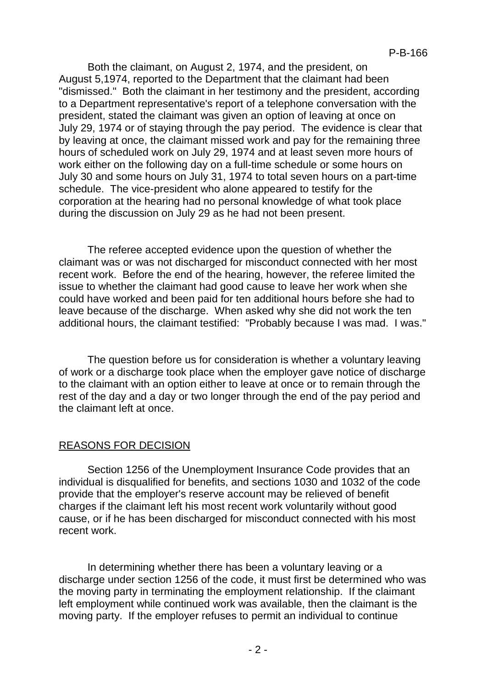Both the claimant, on August 2, 1974, and the president, on August 5,1974, reported to the Department that the claimant had been "dismissed." Both the claimant in her testimony and the president, according to a Department representative's report of a telephone conversation with the president, stated the claimant was given an option of leaving at once on July 29, 1974 or of staying through the pay period. The evidence is clear that by leaving at once, the claimant missed work and pay for the remaining three hours of scheduled work on July 29, 1974 and at least seven more hours of work either on the following day on a full-time schedule or some hours on July 30 and some hours on July 31, 1974 to total seven hours on a part-time schedule. The vice-president who alone appeared to testify for the corporation at the hearing had no personal knowledge of what took place during the discussion on July 29 as he had not been present.

The referee accepted evidence upon the question of whether the claimant was or was not discharged for misconduct connected with her most recent work. Before the end of the hearing, however, the referee limited the issue to whether the claimant had good cause to leave her work when she could have worked and been paid for ten additional hours before she had to leave because of the discharge. When asked why she did not work the ten additional hours, the claimant testified: "Probably because I was mad. I was."

The question before us for consideration is whether a voluntary leaving of work or a discharge took place when the employer gave notice of discharge to the claimant with an option either to leave at once or to remain through the rest of the day and a day or two longer through the end of the pay period and the claimant left at once.

## REASONS FOR DECISION

Section 1256 of the Unemployment Insurance Code provides that an individual is disqualified for benefits, and sections 1030 and 1032 of the code provide that the employer's reserve account may be relieved of benefit charges if the claimant left his most recent work voluntarily without good cause, or if he has been discharged for misconduct connected with his most recent work.

In determining whether there has been a voluntary leaving or a discharge under section 1256 of the code, it must first be determined who was the moving party in terminating the employment relationship. If the claimant left employment while continued work was available, then the claimant is the moving party. If the employer refuses to permit an individual to continue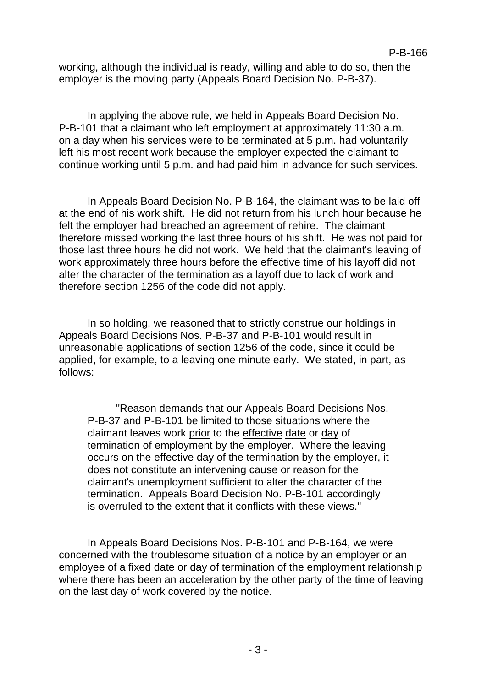working, although the individual is ready, willing and able to do so, then the employer is the moving party (Appeals Board Decision No. P-B-37).

In applying the above rule, we held in Appeals Board Decision No. P-B-101 that a claimant who left employment at approximately 11:30 a.m. on a day when his services were to be terminated at 5 p.m. had voluntarily left his most recent work because the employer expected the claimant to continue working until 5 p.m. and had paid him in advance for such services.

In Appeals Board Decision No. P-B-164, the claimant was to be laid off at the end of his work shift. He did not return from his lunch hour because he felt the employer had breached an agreement of rehire. The claimant therefore missed working the last three hours of his shift. He was not paid for those last three hours he did not work. We held that the claimant's leaving of work approximately three hours before the effective time of his layoff did not alter the character of the termination as a layoff due to lack of work and therefore section 1256 of the code did not apply.

In so holding, we reasoned that to strictly construe our holdings in Appeals Board Decisions Nos. P-B-37 and P-B-101 would result in unreasonable applications of section 1256 of the code, since it could be applied, for example, to a leaving one minute early. We stated, in part, as follows:

"Reason demands that our Appeals Board Decisions Nos. P-B-37 and P-B-101 be limited to those situations where the claimant leaves work prior to the effective date or day of termination of employment by the employer. Where the leaving occurs on the effective day of the termination by the employer, it does not constitute an intervening cause or reason for the claimant's unemployment sufficient to alter the character of the termination. Appeals Board Decision No. P-B-101 accordingly is overruled to the extent that it conflicts with these views."

In Appeals Board Decisions Nos. P-B-101 and P-B-164, we were concerned with the troublesome situation of a notice by an employer or an employee of a fixed date or day of termination of the employment relationship where there has been an acceleration by the other party of the time of leaving on the last day of work covered by the notice.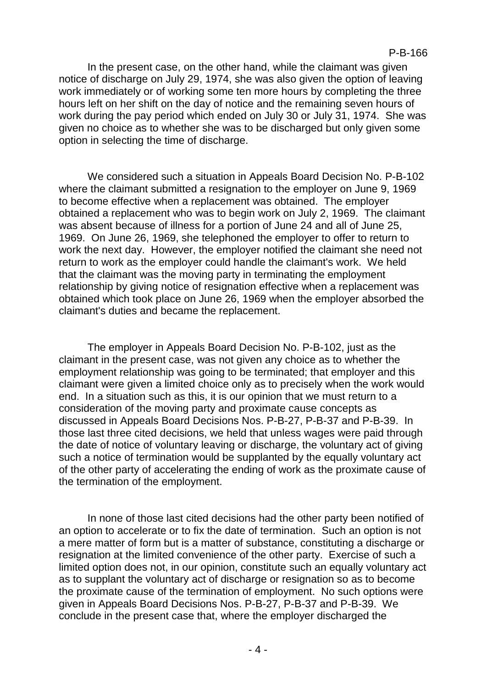In the present case, on the other hand, while the claimant was given notice of discharge on July 29, 1974, she was also given the option of leaving work immediately or of working some ten more hours by completing the three hours left on her shift on the day of notice and the remaining seven hours of work during the pay period which ended on July 30 or July 31, 1974. She was given no choice as to whether she was to be discharged but only given some option in selecting the time of discharge.

We considered such a situation in Appeals Board Decision No. P-B-102 where the claimant submitted a resignation to the employer on June 9, 1969 to become effective when a replacement was obtained. The employer obtained a replacement who was to begin work on July 2, 1969. The claimant was absent because of illness for a portion of June 24 and all of June 25, 1969. On June 26, 1969, she telephoned the employer to offer to return to work the next day. However, the employer notified the claimant she need not return to work as the employer could handle the claimant's work. We held that the claimant was the moving party in terminating the employment relationship by giving notice of resignation effective when a replacement was obtained which took place on June 26, 1969 when the employer absorbed the claimant's duties and became the replacement.

The employer in Appeals Board Decision No. P-B-102, just as the claimant in the present case, was not given any choice as to whether the employment relationship was going to be terminated; that employer and this claimant were given a limited choice only as to precisely when the work would end. In a situation such as this, it is our opinion that we must return to a consideration of the moving party and proximate cause concepts as discussed in Appeals Board Decisions Nos. P-B-27, P-B-37 and P-B-39. In those last three cited decisions, we held that unless wages were paid through the date of notice of voluntary leaving or discharge, the voluntary act of giving such a notice of termination would be supplanted by the equally voluntary act of the other party of accelerating the ending of work as the proximate cause of the termination of the employment.

In none of those last cited decisions had the other party been notified of an option to accelerate or to fix the date of termination. Such an option is not a mere matter of form but is a matter of substance, constituting a discharge or resignation at the limited convenience of the other party. Exercise of such a limited option does not, in our opinion, constitute such an equally voluntary act as to supplant the voluntary act of discharge or resignation so as to become the proximate cause of the termination of employment. No such options were given in Appeals Board Decisions Nos. P-B-27, P-B-37 and P-B-39. We conclude in the present case that, where the employer discharged the